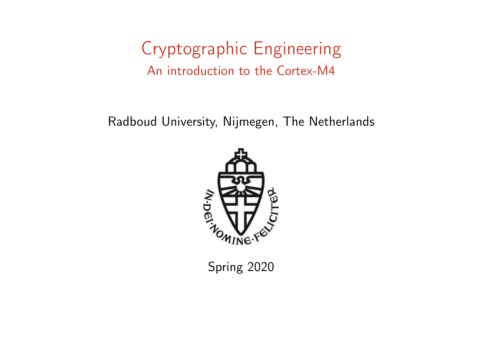### Cryptographic Engineering An introduction to the Cortex-M4

Radboud University, Nijmegen, The Netherlands



Spring 2020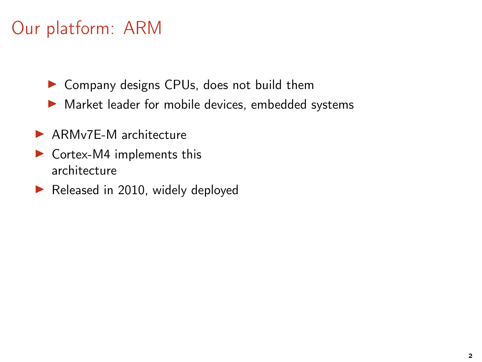# Our platform: ARM

- ▶ Company designs CPUs, does not build them
- ▶ Market leader for mobile devices, embedded systems
- ▶ ARMv7F-M architecture
- $\triangleright$  Cortex-M4 implements this architecture
- ▶ Released in 2010, widely deployed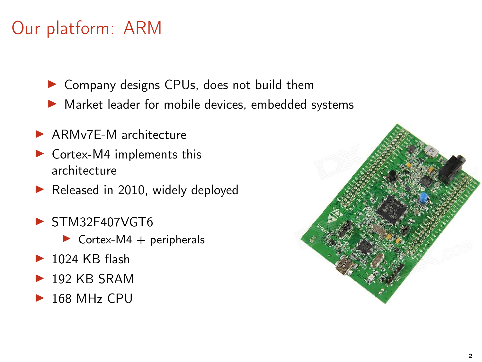# Our platform: ARM

- ▶ Company designs CPUs, does not build them
- ▶ Market leader for mobile devices, embedded systems
- ▶ ARMv7F-M architecture
- $\triangleright$  Cortex-M4 implements this architecture
- $\blacktriangleright$  Released in 2010, widely deployed
- $\blacktriangleright$  STM32F407VGT6
	- $\triangleright$  Cortex-M4 + peripherals
- $\blacktriangleright$  1024 KB flash
- $\blacktriangleright$  192 KB SRAM
- $\blacktriangleright$  168 MHz CPU

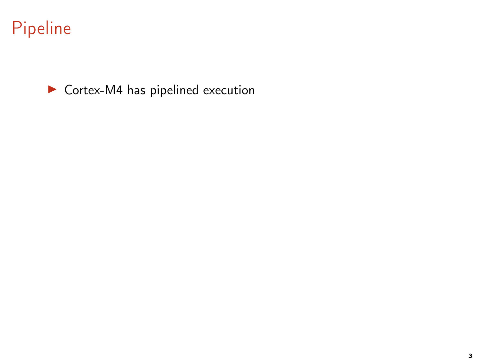▶ Cortex-M4 has pipelined execution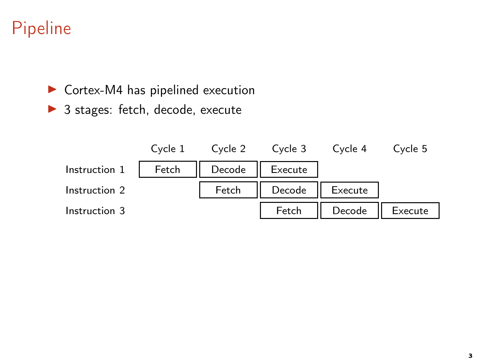▶ Cortex-M4 has pipelined execution

▶ 3 stages: fetch, decode, execute

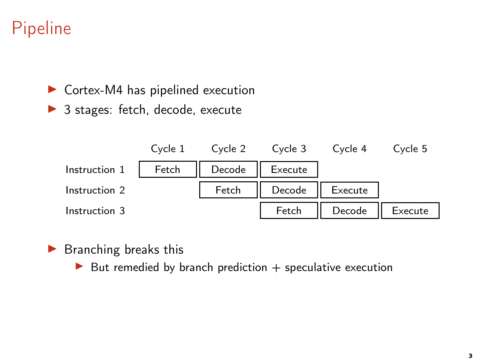▶ Cortex-M4 has pipelined execution

▶ 3 stages: fetch, decode, execute



 $\blacktriangleright$  Branching breaks this

 $\triangleright$  But remedied by branch prediction  $+$  speculative execution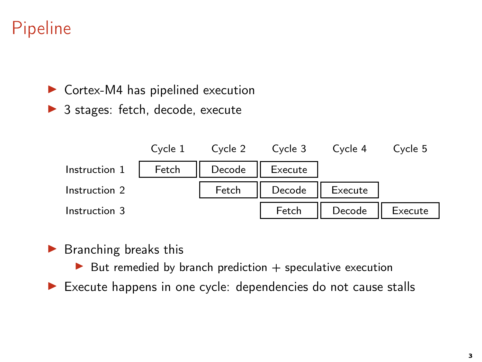$\triangleright$  Cortex-M4 has pipelined execution

▶ 3 stages: fetch, decode, execute



- $\blacktriangleright$  Branching breaks this
	- $\triangleright$  But remedied by branch prediction  $+$  speculative execution
- ▶ Execute happens in one cycle: dependencies do not cause stalls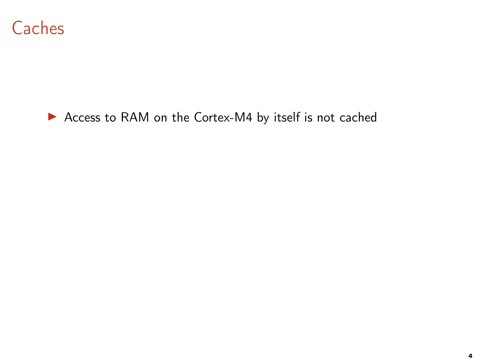

#### ▶ Access to RAM on the Cortex-M4 by itself is not cached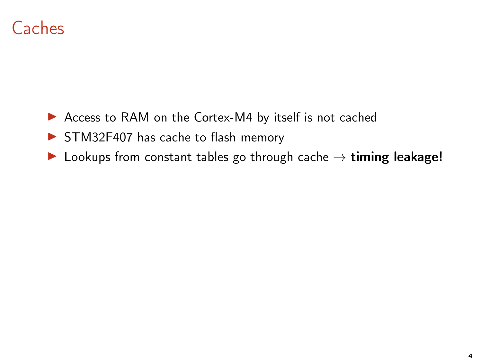### **Caches**

- ▶ Access to RAM on the Cortex-M4 by itself is not cached
- ▶ STM32F407 has cache to flash memory
- $\triangleright$  Lookups from constant tables go through cache  $\rightarrow$  timing leakage!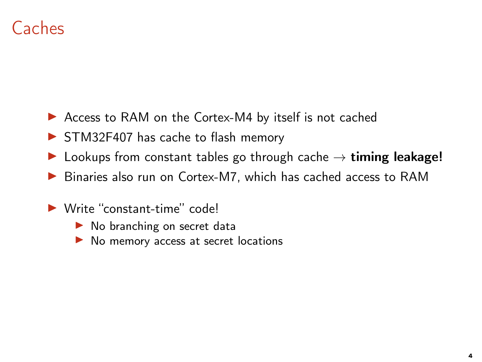# Caches

- ▶ Access to RAM on the Cortex-M4 by itself is not cached
- ▶ STM32F407 has cache to flash memory
- $\triangleright$  Lookups from constant tables go through cache  $\rightarrow$  timing leakage!
- ▶ Binaries also run on Cortex-M7, which has cached access to RAM
- ▶ Write "constant-time" code!
	- ▶ No branching on secret data
	- ▶ No memory access at secret locations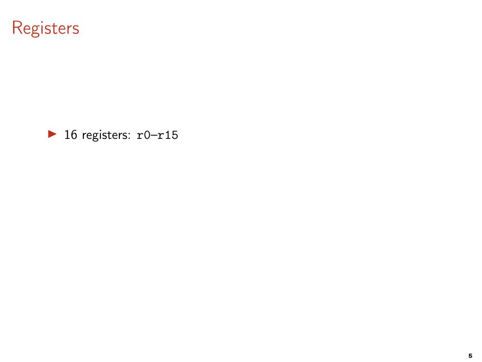# Registers

 $\blacktriangleright$  16 registers:  $r0-r15$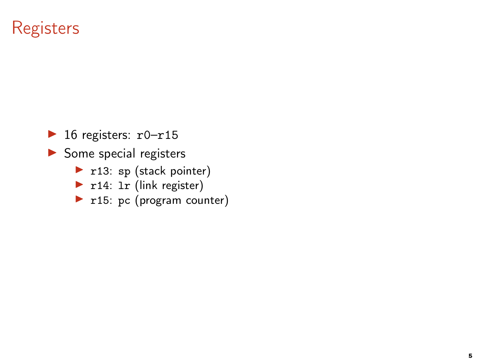### **Registers**

 $\blacktriangleright$  16 registers:  $r0-r15$ 

▶ Some special registers

- $\blacktriangleright$  r13: sp (stack pointer)
- ▶ r14: 1r (link register)
- $\blacktriangleright$  r15: pc (program counter)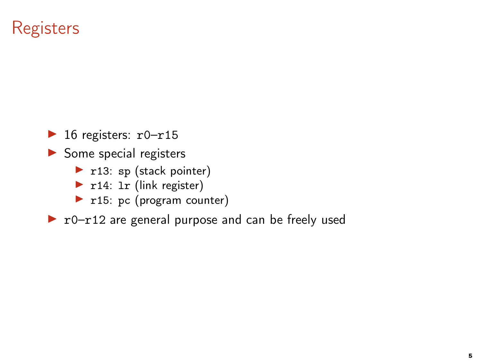### **Registers**

 $\blacktriangleright$  16 registers:  $r0-r15$ 

▶ Some special registers

- $\blacktriangleright$  r13: sp (stack pointer)
- ▶ r14: 1r (link register)
- $\blacktriangleright$  r15: pc (program counter)

 $\triangleright$  r0-r12 are general purpose and can be freely used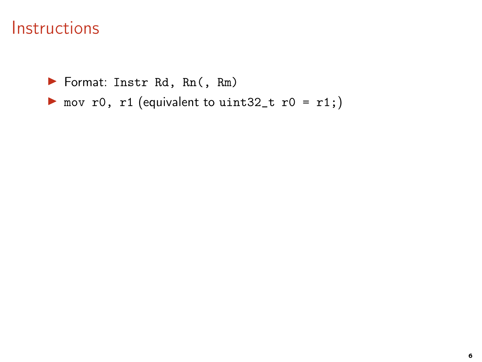▶ Format: Instr Rd, Rn(, Rm)

▶ mov r0, r1 (equivalent to uint32\_t r0 = r1;)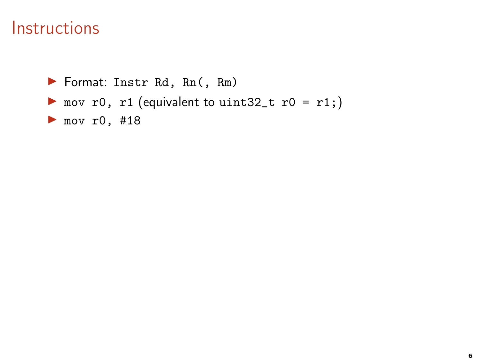▶ Format: Instr Rd, Rn(, Rm) ▶ mov r0, r1 (equivalent to uint32\_t r0 = r1;) ▶ mov r0, #18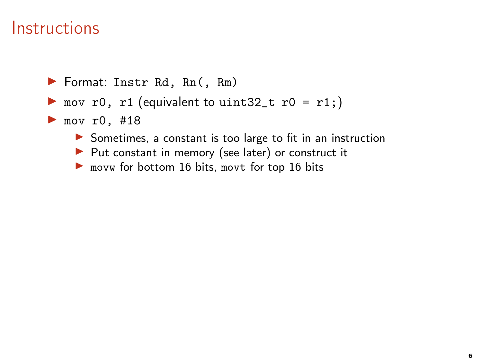- ▶ mov r0, r1 (equivalent to uint32\_t r0 = r1;)
- $\blacktriangleright$  mov r0, #18
	- ▶ Sometimes, a constant is too large to fit in an instruction
	- ▶ Put constant in memory (see later) or construct it
	- $\triangleright$  movw for bottom 16 bits, movt for top 16 bits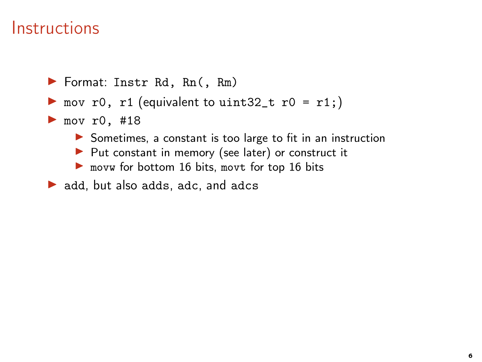- ▶ mov r0, r1 (equivalent to uint32\_t r0 = r1;)
- $\blacktriangleright$  mov r0, #18
	- ▶ Sometimes, a constant is too large to fit in an instruction
	- ▶ Put constant in memory (see later) or construct it
	- ▶ movw for bottom 16 bits, movt for top 16 bits
- $\triangleright$  add, but also adds, adc, and adcs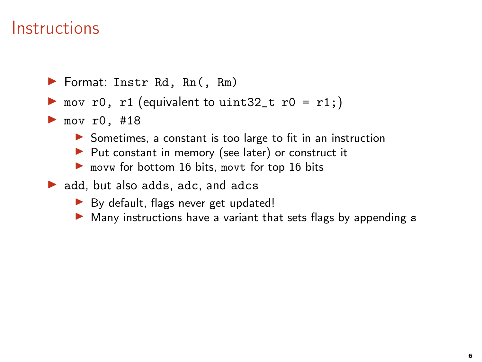- ▶ mov r0, r1 (equivalent to uint32\_t r0 = r1;)
- $\blacktriangleright$  mov r0, #18
	- ▶ Sometimes, a constant is too large to fit in an instruction
	- ▶ Put constant in memory (see later) or construct it
	- ▶ movw for bottom 16 bits, movt for top 16 bits
- $\triangleright$  add, but also adds, adc, and adcs
	- ▶ By default, flags never get updated!
	- ▶ Many instructions have a variant that sets flags by appending s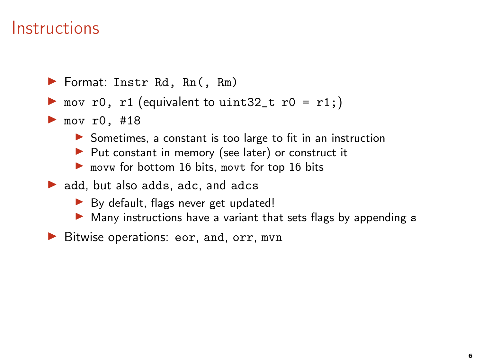- ▶ mov r0, r1 (equivalent to uint32\_t r0 = r1;)
- $\blacktriangleright$  mov r0, #18
	- ▶ Sometimes, a constant is too large to fit in an instruction
	- ▶ Put constant in memory (see later) or construct it
	- ▶ movw for bottom 16 bits, movt for top 16 bits
- $\triangleright$  add, but also adds, adc, and adcs
	- ▶ By default, flags never get updated!
	- ▶ Many instructions have a variant that sets flags by appending s
- ▶ Bitwise operations: eor, and, orr, mvn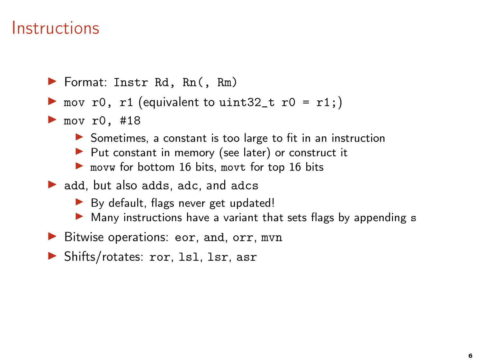- ▶ mov r0, r1 (equivalent to uint32\_t r0 = r1;)
- $\blacktriangleright$  mov r0, #18
	- ▶ Sometimes, a constant is too large to fit in an instruction
	- ▶ Put constant in memory (see later) or construct it
	- ▶ movw for bottom 16 bits, movt for top 16 bits
- $\triangleright$  add, but also adds, adc, and adcs
	- ▶ By default, flags never get updated!
	- ▶ Many instructions have a variant that sets flags by appending s
- ▶ Bitwise operations: eor, and, orr, mvn
- ▶ Shifts/rotates: ror, 1s1, 1sr, asr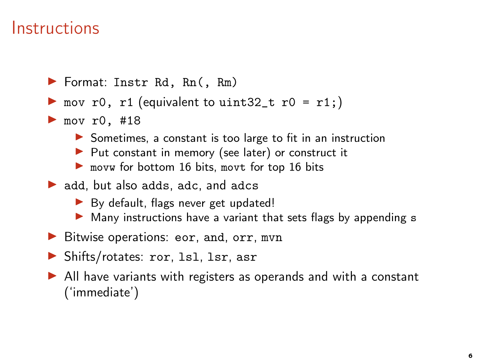- ▶ mov r0, r1 (equivalent to uint32\_t r0 = r1;)
- $\blacktriangleright$  mov r0, #18
	- ▶ Sometimes, a constant is too large to fit in an instruction
	- ▶ Put constant in memory (see later) or construct it
	- ▶ movw for bottom 16 bits, movt for top 16 bits
- $\triangleright$  add, but also adds, adc, and adcs
	- ▶ By default, flags never get updated!
	- ▶ Many instructions have a variant that sets flags by appending s
- ▶ Bitwise operations: eor, and, orr, mvn
- ▶ Shifts/rotates: ror, 1s1, 1sr, asr
- $\triangleright$  All have variants with registers as operands and with a constant ('immediate')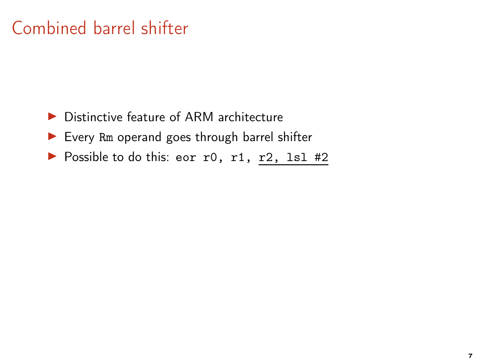# Combined barrel shifter

- ▶ Distinctive feature of ARM architecture
- ▶ Every Rm operand goes through barrel shifter
- ▶ Possible to do this: eor r0, r1, r2, 1s1 #2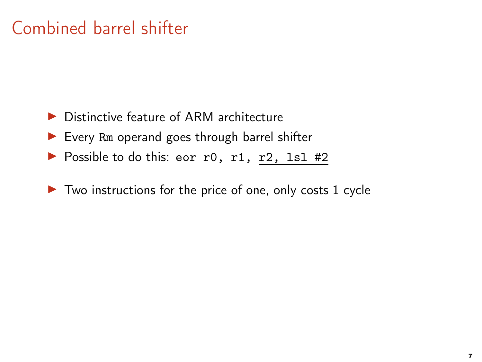# Combined barrel shifter

- ▶ Distinctive feature of ARM architecture
- $\blacktriangleright$  Every Rm operand goes through barrel shifter
- ▶ Possible to do this: eor r0, r1, r2, 1s1 #2
- $\triangleright$  Two instructions for the price of one, only costs 1 cycle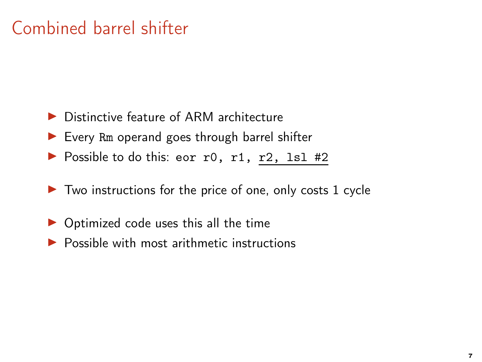# Combined barrel shifter

- ▶ Distinctive feature of ARM architecture
- $\blacktriangleright$  Every Rm operand goes through barrel shifter
- $\triangleright$  Possible to do this: eor r0, r1, r2, 1s1 #2
- $\triangleright$  Two instructions for the price of one, only costs 1 cycle
- ▶ Optimized code uses this all the time
- $\blacktriangleright$  Possible with most arithmetic instructions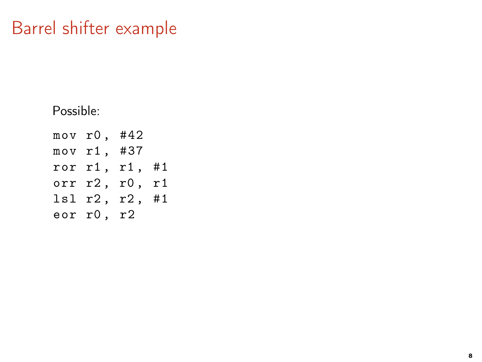# Barrel shifter example

Possible:

mov r0 , #42 mov r1 , #37 ror r1 , r1 , #1 orr r2, r0, r1 lsl r2 , r2 , #1 eor r0, r2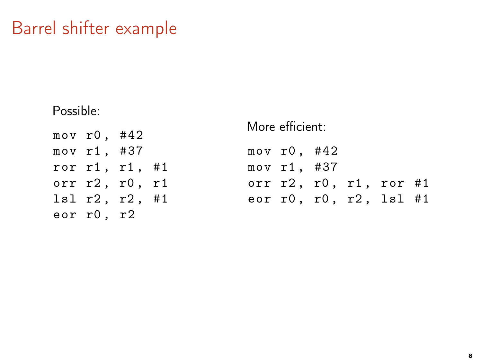# Barrel shifter example

Possible:

| mov r0, #42 |                |  |
|-------------|----------------|--|
| mov r1, #37 |                |  |
|             | ror r1, r1, #1 |  |
|             | orr r2, r0, r1 |  |
|             | 1sl r2, r2, #1 |  |
| eor r0, r2  |                |  |

#### More efficient:

| mov r0, #42 |  |                        |  |
|-------------|--|------------------------|--|
| mov r1, #37 |  |                        |  |
|             |  | orr r2, r0, r1, ror #1 |  |
|             |  | eor r0, r0, r2, 1s1 #1 |  |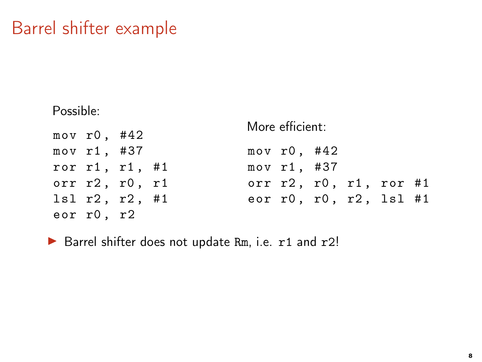# Barrel shifter example

Possible:

| mov $r0$ , #42 |                          | More efficient: |                                   |  |  |  |  |
|----------------|--------------------------|-----------------|-----------------------------------|--|--|--|--|
|                |                          |                 |                                   |  |  |  |  |
| mov r1, #37    |                          |                 | mov $r0$ , #42                    |  |  |  |  |
|                | ror r1, r1, #1           |                 | mov r1, #37                       |  |  |  |  |
|                | orr $r2$ , $r0$ , $r1$   |                 | orr $r2$ , $r0$ , $r1$ , $r0r$ #1 |  |  |  |  |
|                | $lsl$ $r2$ , $r2$ , $#1$ |                 | eor r0, r0, r2, 1s1 #1            |  |  |  |  |
| eor r0, r2     |                          |                 |                                   |  |  |  |  |

▶ Barrel shifter does not update Rm, i.e. r1 and r2!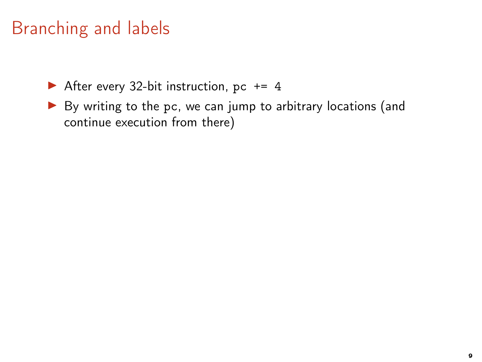- After every 32-bit instruction, pc  $+= 4$
- ▶ By writing to the pc, we can jump to arbitrary locations (and continue execution from there)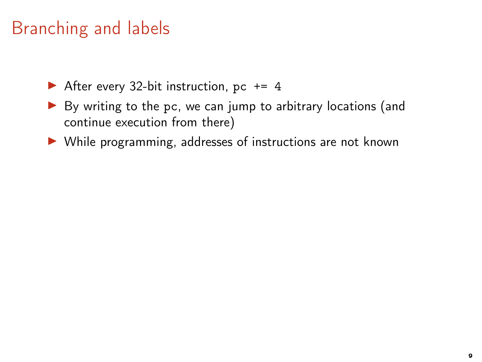- After every 32-bit instruction, pc  $+= 4$
- ▶ By writing to the pc, we can jump to arbitrary locations (and continue execution from there)
- ▶ While programming, addresses of instructions are not known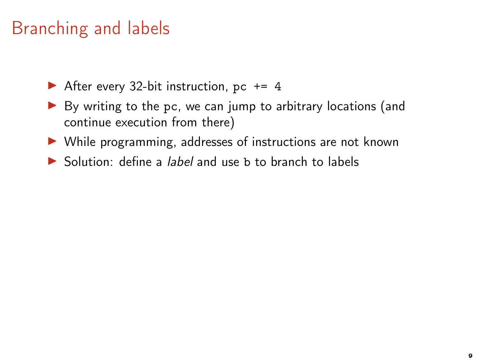- After every 32-bit instruction, pc  $+= 4$
- ▶ By writing to the pc, we can jump to arbitrary locations (and continue execution from there)
- ▶ While programming, addresses of instructions are not known
- $\triangleright$  Solution: define a *label* and use b to branch to labels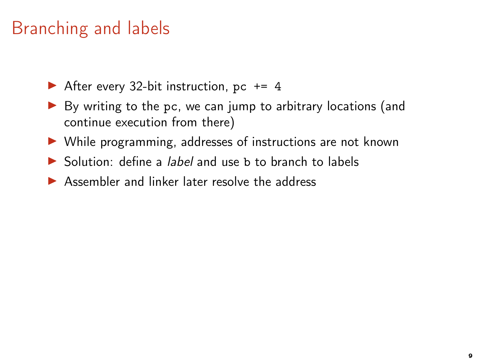- After every 32-bit instruction, pc  $+= 4$
- ▶ By writing to the pc, we can jump to arbitrary locations (and continue execution from there)
- ▶ While programming, addresses of instructions are not known
- $\triangleright$  Solution: define a *label* and use b to branch to labels
- $\triangleright$  Assembler and linker later resolve the address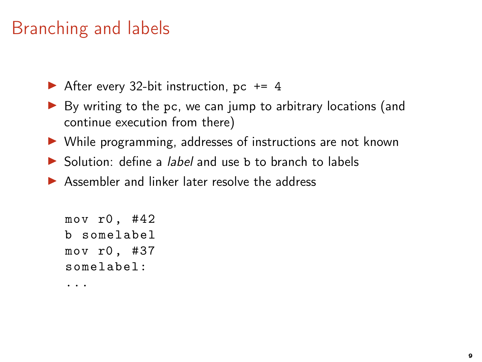After every 32-bit instruction, pc  $+= 4$ 

- ▶ By writing to the pc, we can jump to arbitrary locations (and continue execution from there)
- ▶ While programming, addresses of instructions are not known
- $\triangleright$  Solution: define a *label* and use b to branch to labels
- $\triangleright$  Assembler and linker later resolve the address

mov r0 , #42 b somelabel mov r0 , #37 somelabel:

...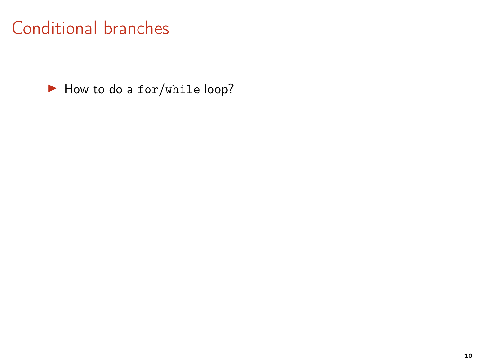# Conditional branches

▶ How to do a for/while loop?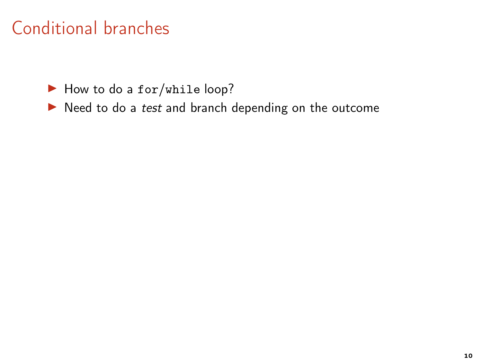# Conditional branches

▶ How to do a for/while loop?

▶ Need to do a test and branch depending on the outcome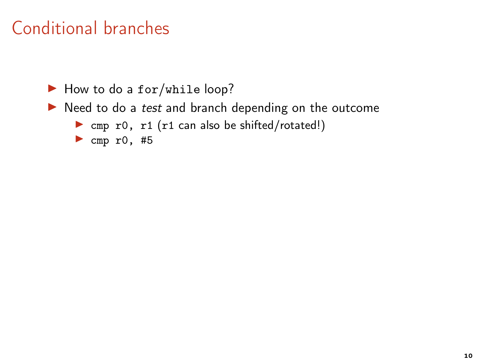# Conditional branches

▶ How to do a for/while loop?

- $\blacktriangleright$  Need to do a test and branch depending on the outcome
	- ▶ cmp r0, r1 (r1 can also be shifted/rotated!)
	- $\blacktriangleright$  cmp r0, #5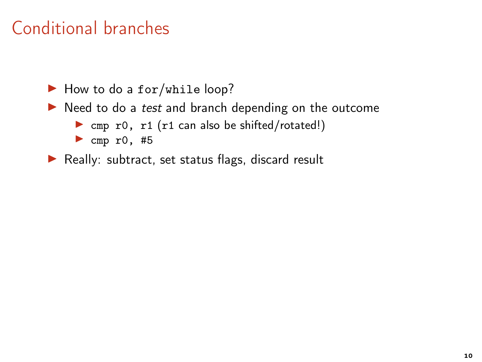▶ How to do a for/while loop?

- $\triangleright$  Need to do a test and branch depending on the outcome
	- ▶ cmp r0, r1 (r1 can also be shifted/rotated!)
	- $\blacktriangleright$  cmp r0, #5

▶ Really: subtract, set status flags, discard result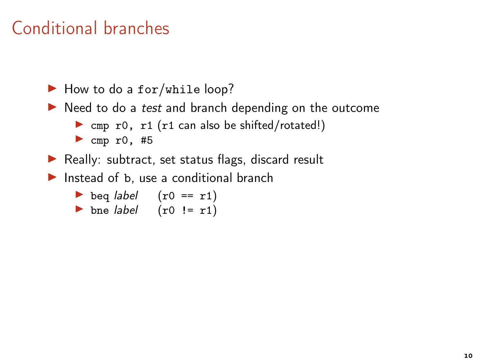▶ How to do a for/while loop?

- ▶ Need to do a test and branch depending on the outcome
	- $\triangleright$  cmp r0, r1 (r1 can also be shifted/rotated!)
	- $\blacktriangleright$  cmp r0, #5
- ▶ Really: subtract, set status flags, discard result
- $\triangleright$  Instead of b, use a conditional branch
	- beq  $label$   $(r0 == r1)$
	- bne label  $(rd != r1)$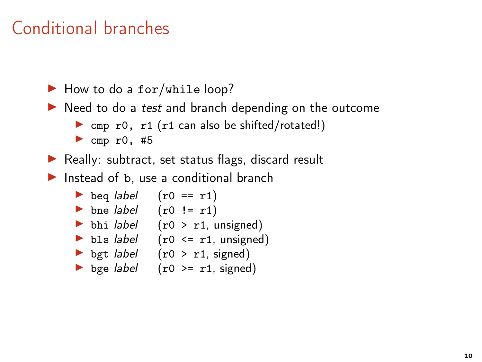$\blacktriangleright$  How to do a for/while loop?

- ▶ Need to do a test and branch depending on the outcome
	- $\triangleright$  cmp r0, r1 (r1 can also be shifted/rotated!)
	- $\blacktriangleright$  cmp r0, #5

▶ Really: subtract, set status flags, discard result

 $\triangleright$  Instead of b, use a conditional branch

\n- beq label 
$$
(r0 == r1)
$$
\n- beq label  $(r0 != r1)$
\n- bhi label  $(r0 > r1, unsigned)$
\n- bbs label  $(r0 \leq r1, unsigned)$
\n- bgt label  $(r0 > r1, signed)$
\n

$$
\bullet \quad \text{bge label} \quad (r0 \geq r1, \text{ signed})
$$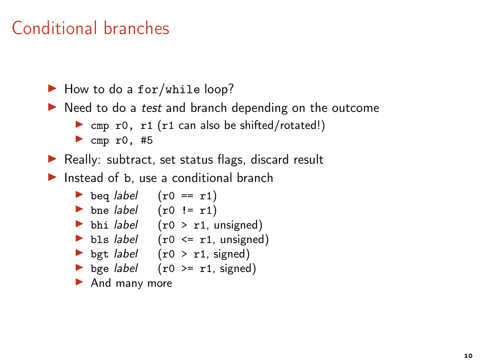$\blacktriangleright$  How to do a for/while loop?

- $\triangleright$  Need to do a *test* and branch depending on the outcome
	- $\triangleright$  cmp r0, r1 (r1 can also be shifted/rotated!)
	- $\blacktriangleright$  cmp r0, #5
- ▶ Really: subtract, set status flags, discard result
- $\blacktriangleright$  Instead of b, use a conditional branch
	- beq  $label$   $(r0 == r1)$
	- bne  $label$   $(r0 != r1)$
	- bhi *label*  $(0 > r1,$  unsigned)
	- bls  $label$  (r0 <= r1, unsigned)
	- bgt *label*  $(0 > r1,$  signed)
	- bge  $label$  (r0 >= r1, signed)
	- ▶ And many more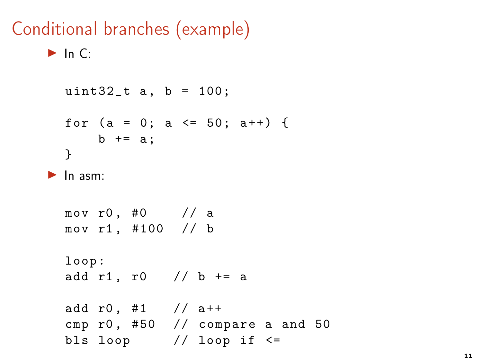#### Conditional branches (example)

```
\blacktriangleright In C:
  uint32_t a, b = 100;
  for (a = 0; a \le 50; a++) {
       b + = a:
  }
\blacktriangleright In asm:
  mov r0, #0 // amov r1, #100 // b
  loop :
  add r1, r0 // b += a
  add r0, #1 // a++
  cmp r0, #50 // compare a and 50
```
bls loop  $//$  loop if  $\le$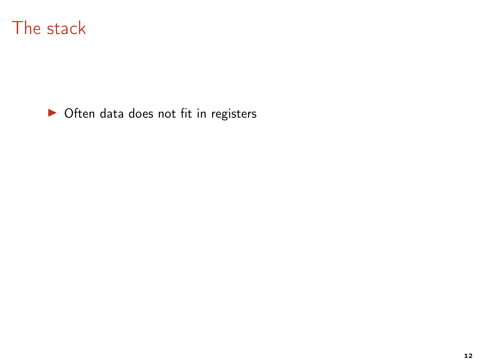

▶ Often data does not fit in registers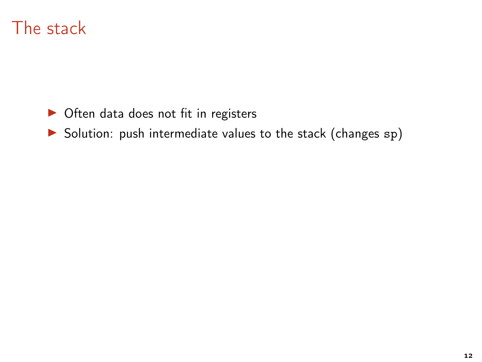- ▶ Often data does not fit in registers
- ▶ Solution: push intermediate values to the stack (changes sp)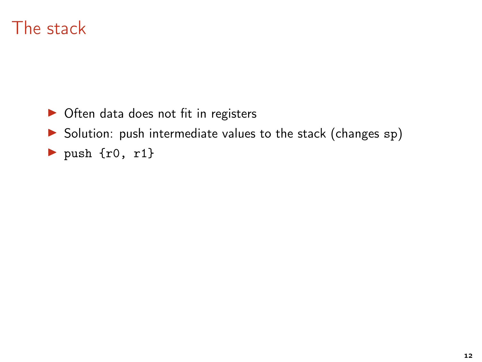- ▶ Often data does not fit in registers
- ▶ Solution: push intermediate values to the stack (changes sp)
- $\blacktriangleright$  push {r0, r1}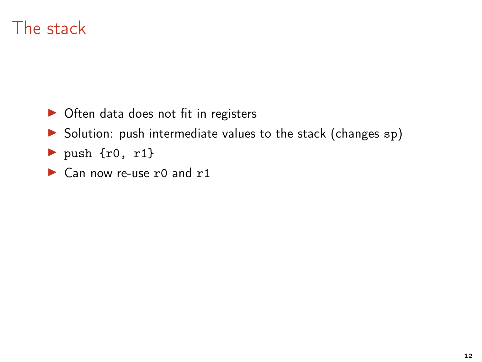- ▶ Often data does not fit in registers
- ▶ Solution: push intermediate values to the stack (changes sp)
- $\blacktriangleright$  push {r0, r1}
- ▶ Can now re-use r0 and r1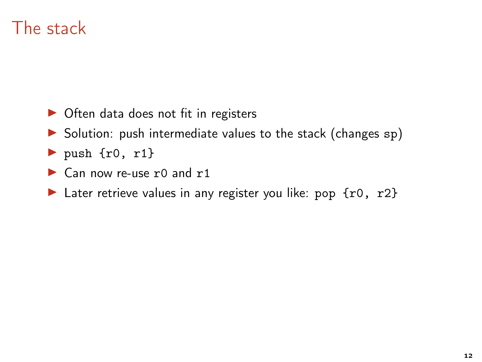- ▶ Often data does not fit in registers
- ▶ Solution: push intermediate values to the stack (changes sp)
- $\blacktriangleright$  push {r0, r1}
- $\triangleright$  Can now re-use r0 and r1
- Later retrieve values in any register you like: pop  $\{r0, r2\}$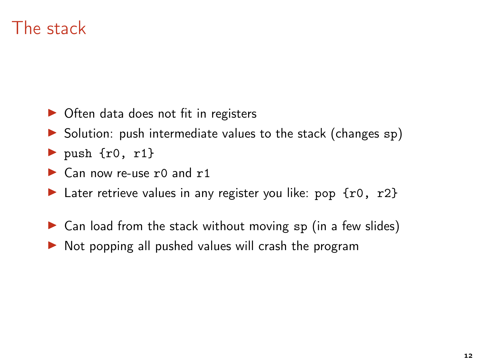- ▶ Often data does not fit in registers
- $\triangleright$  Solution: push intermediate values to the stack (changes sp)
- $\triangleright$  push {r0, r1}
- $\triangleright$  Can now re-use r0 and r1
- ► Later retrieve values in any register you like: pop  $\{r0, r2\}$
- $\triangleright$  Can load from the stack without moving sp (in a few slides)
- $\triangleright$  Not popping all pushed values will crash the program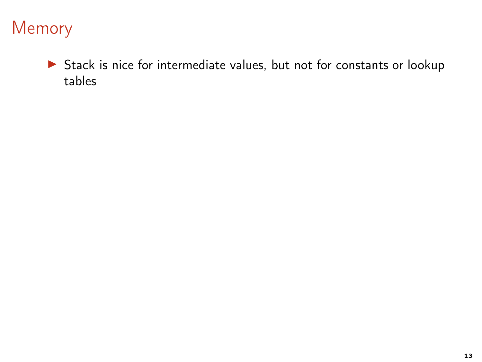▶ Stack is nice for intermediate values, but not for constants or lookup tables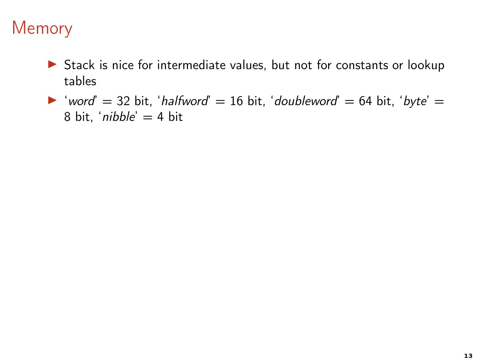- ▶ Stack is nice for intermediate values, but not for constants or lookup tables
- ▶ 'word' = 32 bit, 'halfword' = 16 bit, 'doubleword' = 64 bit, 'byte' = 8 bit, 'nibble'  $=$  4 bit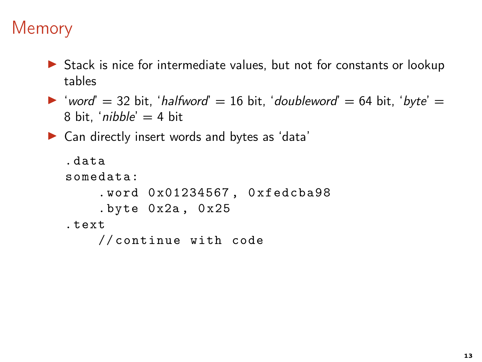- ▶ Stack is nice for intermediate values, but not for constants or lookup tables
- ▶ 'word' = 32 bit, 'halfword' = 16 bit, 'doubleword' = 64 bit, 'byte' = 8 bit, '*nibble'*  $=$  4 bit
- ▶ Can directly insert words and bytes as 'data'

```
. data
somedata:
    . word 0 x01234567 , 0 xfedcba98
    . byte 0x2a, 0x25. text
    // continue with code
```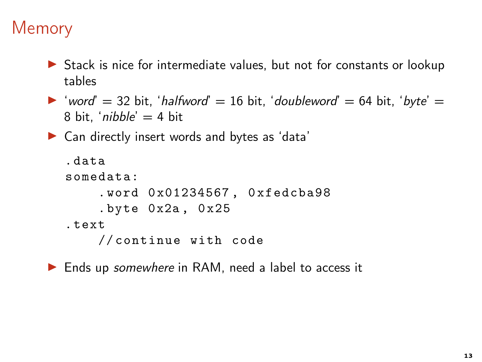▶ Stack is nice for intermediate values, but not for constants or lookup tables

```
▶ 'word' = 32 bit, 'halfword' = 16 bit, 'doubleword' = 64 bit, 'byte' =
   8 bit, 'nibble' = 4 bit
```
▶ Can directly insert words and bytes as 'data'

```
. data
somedata:
    . word 0 x01234567 , 0 xfedcba98
    . byte 0x2a, 0x25. text
    // continue with code
```
▶ Ends up somewhere in RAM, need a label to access it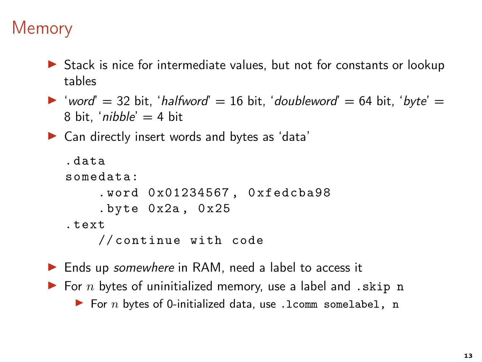▶ Stack is nice for intermediate values, but not for constants or lookup tables

```
▶ 'word' = 32 bit, 'halfword' = 16 bit, 'doubleword' = 64 bit, 'byte' =
   8 bit, 'nibble' = 4 bit
```
▶ Can directly insert words and bytes as 'data'

```
. data
somedata:
     . word 0 x01234567 , 0 xfedcba98
     . byte 0 x2a , 0 x25
. text
    // continue with code
```
▶ Ends up somewhere in RAM, need a label to access it  $\blacktriangleright$  For n bytes of uninitialized memory, use a label and . skip n  $\blacktriangleright$  For n bytes of 0-initialized data, use .1comm somelabel, n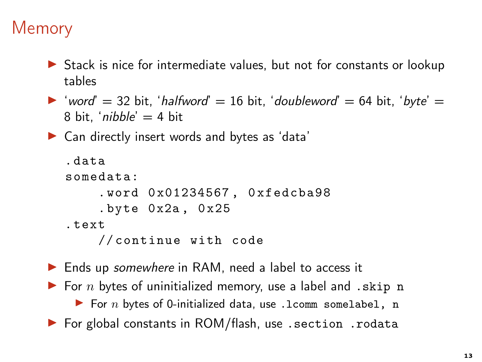▶ Stack is nice for intermediate values, but not for constants or lookup tables

```
▶ 'word' = 32 bit, 'halfword' = 16 bit, 'doubleword' = 64 bit, 'byte' =
   8 bit, 'nibble' = 4 bit
```
▶ Can directly insert words and bytes as 'data'

```
. data
somedata:
    . word 0 x01234567 , 0 xfedcba98
    . byte 0x2a, 0x25. text
    // continue with code
```
► Ends up somewhere in RAM, need a label to access it  $\blacktriangleright$  For n bytes of uninitialized memory, use a label and . skip n  $\blacktriangleright$  For n bytes of 0-initialized data, use .1comm somelabel, n ▶ For global constants in ROM/flash, use . section . rodata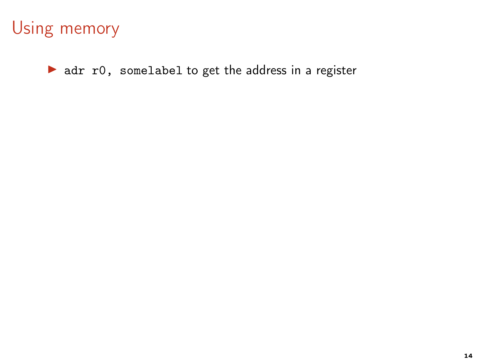▶ adr r0, somelabel to get the address in a register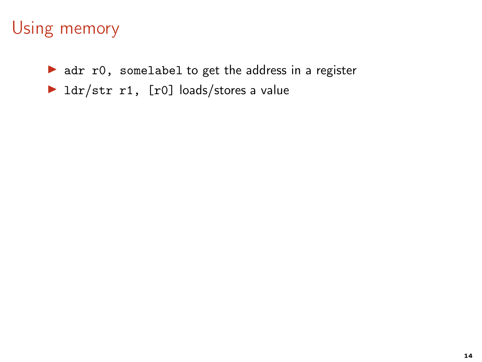▶ adr r0, somelabel to get the address in a register

▶ ldr/str r1, [r0] loads/stores a value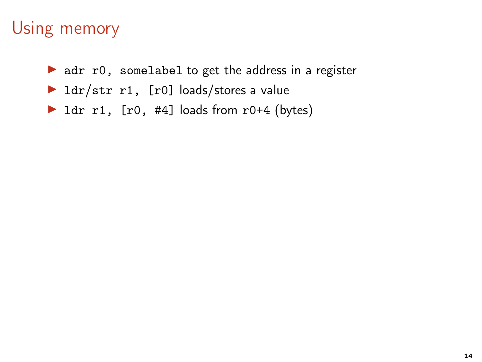- $\triangleright$  adr r0, somelabel to get the address in a register
- $\blacktriangleright$  ldr/str r1, [r0] loads/stores a value
- $\triangleright$  1dr r1, [r0, #4] loads from r0+4 (bytes)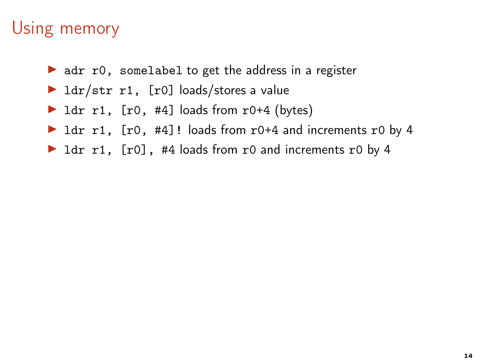- $\triangleright$  adr r0, somelabel to get the address in a register
- $\blacktriangleright$  ldr/str r1, [r0] loads/stores a value
- ▶ 1dr r1, <math>[r0, #4]</math> loads from <math>r0+4</math> (bytes)
- ▶ ldr r1, [r0, #4]! loads from r0+4 and increments r0 by 4
- ▶ ldr r1, [r0], #4 loads from r0 and increments r0 by 4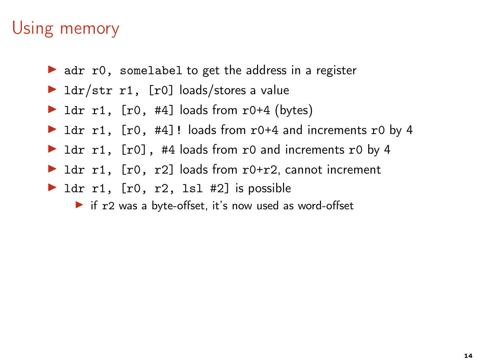- $\triangleright$  adr r0, somelabel to get the address in a register
- $\blacktriangleright$  ldr/str r1, [r0] loads/stores a value
- $\triangleright$  1dr r1, [r0, #4] loads from r0+4 (bytes)
- ▶ ldr r1, [r0, #4]! loads from r0+4 and increments r0 by 4
- ▶ ldr r1, [r0], #4 loads from r0 and increments r0 by 4
- $\triangleright$  1dr r1, [r0, r2] loads from r0+r2, cannot increment
- $\blacktriangleright$  ldr r1, [r0, r2, lsl #2] is possible
	- ▶ if r2 was a byte-offset, it's now used as word-offset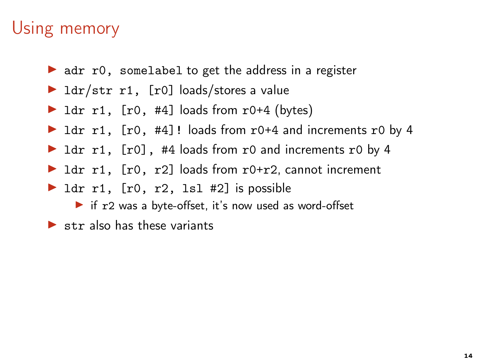- $\triangleright$  adr r0, somelabel to get the address in a register
- $\blacktriangleright$  ldr/str r1, [r0] loads/stores a value
- $\triangleright$  1dr r1, [r0, #4] loads from r0+4 (bytes)
- ▶ ldr r1, [r0, #4]! loads from r0+4 and increments r0 by 4
- ▶ ldr r1, [r0], #4 loads from r0 and increments r0 by 4
- $\triangleright$  1dr r1, [r0, r2] loads from r0+r2, cannot increment
- $\blacktriangleright$  ldr r1, [r0, r2, lsl #2] is possible
	- ▶ if r2 was a byte-offset, it's now used as word-offset
- $\blacktriangleright$  str also has these variants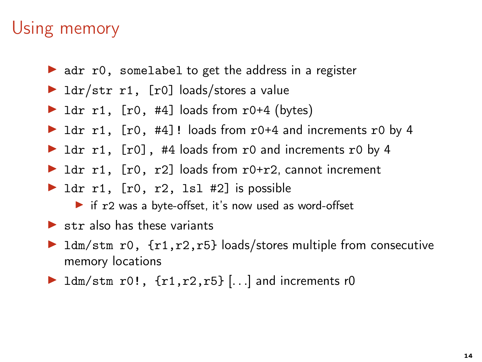- $\triangleright$  adr r0, somelabel to get the address in a register
- $\blacktriangleright$  ldr/str r1, [r0] loads/stores a value
- $\triangleright$  1dr r1, [r0, #4] loads from r0+4 (bytes)
- ▶ ldr r1, [r0, #4]! loads from r0+4 and increments r0 by 4
- ▶ ldr r1, [r0], #4 loads from r0 and increments r0 by 4
- $\triangleright$  1dr r1, [r0, r2] loads from r0+r2, cannot increment
- $\blacktriangleright$  ldr r1, [r0, r2, lsl #2] is possible
	- ▶ if r2 was a byte-offset, it's now used as word-offset
- $\blacktriangleright$  str also has these variants
- $\triangleright$  1dm/stm r0, {r1,r2,r5} loads/stores multiple from consecutive memory locations
- $\blacktriangleright$  ldm/stm r0!,  $\{r1, r2, r5\}$  ... and increments r0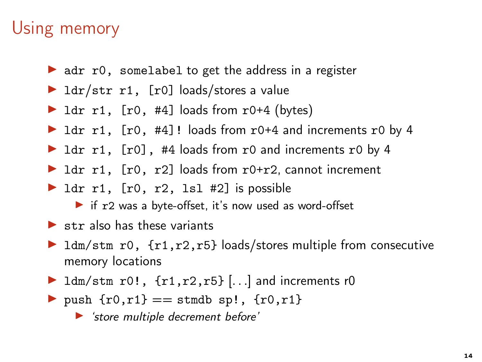- $\triangleright$  adr r0, somelabel to get the address in a register
- $\blacktriangleright$  ldr/str r1, [r0] loads/stores a value
- $\triangleright$  1dr r1, [r0, #4] loads from r0+4 (bytes)
- ▶ ldr r1, [r0, #4]! loads from r0+4 and increments r0 by 4
- ▶ ldr r1, [r0], #4 loads from r0 and increments r0 by 4
- $\triangleright$  1dr r1, [r0, r2] loads from r0+r2, cannot increment
- $\blacktriangleright$  ldr r1, [r0, r2, lsl #2] is possible
	- ▶ if r2 was a byte-offset, it's now used as word-offset
- $\blacktriangleright$  str also has these variants
- ▶ ldm/stm r0, {r1,r2,r5} loads/stores multiple from consecutive memory locations
- $\blacktriangleright$  ldm/stm r0!,  $\{r1, r2, r5\}$  ... and increments r0
- push  ${r0, r1} ==$  stmdb sp!,  ${r0, r1}$

▶ 'store multiple decrement before'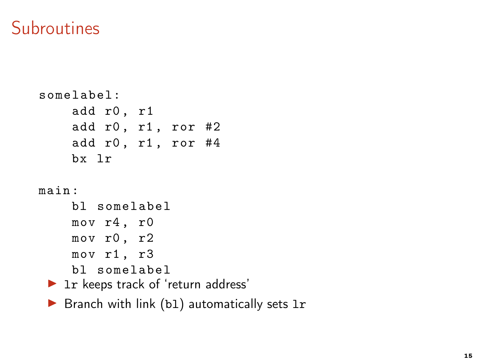#### **Subroutines**

```
somelabel:
    add r0 , r1
    add r0, r1, ror #2add r0, r1, ror #4
    bx lr
main :
    bl somelabel
    mov r4 , r0
    mov r0 , r2
    mov r1 , r3
    bl somelabel
 ▶ 1r keeps track of 'return address'
```
 $\triangleright$  Branch with link (b1) automatically sets 1r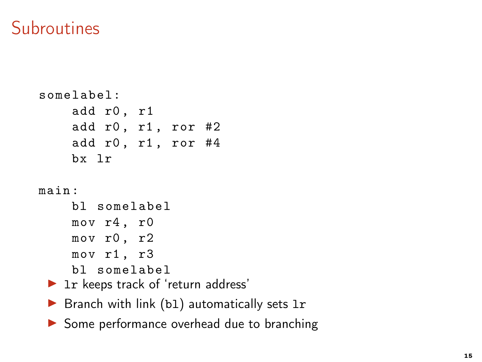#### **Subroutines**

```
somelabel:
     add r0 , r1
     add r0, r1, ror #2
     add r0, r1, ror #4
     bx lr
main :
     bl somelabel
     mov r4 , r0
     mov r0 , r2
     mov r1 , r3
     bl somelabel
 ▶ 1r keeps track of 'return address'
 \triangleright Branch with link (b1) automatically sets 1r
```
▶ Some performance overhead due to branching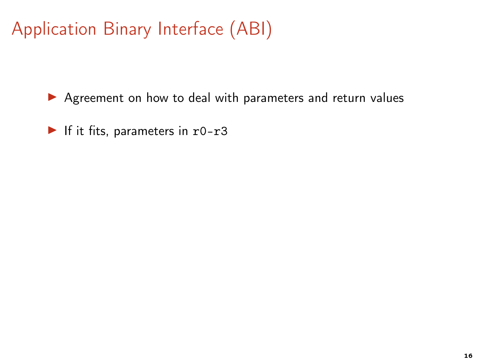▶ Agreement on how to deal with parameters and return values

 $\blacktriangleright$  If it fits, parameters in r0-r3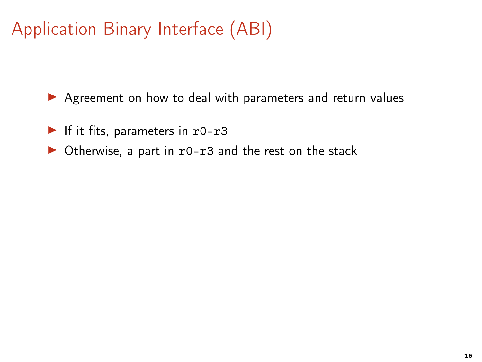- $\blacktriangleright$  If it fits, parameters in r0-r3
- $\triangleright$  Otherwise, a part in r0-r3 and the rest on the stack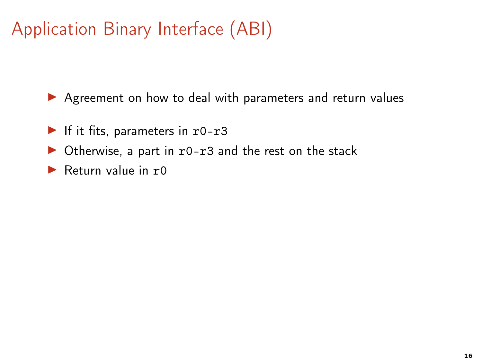- $\blacktriangleright$  If it fits, parameters in r0-r3
- $\triangleright$  Otherwise, a part in r0-r3 and the rest on the stack
- Return value in  $r0$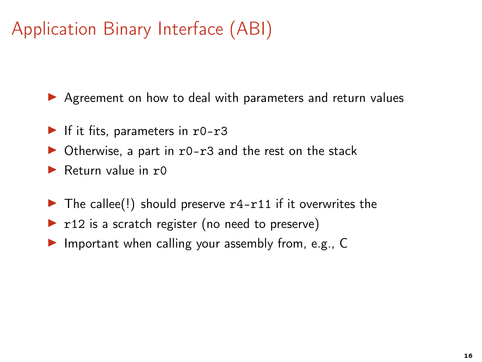- $\blacktriangleright$  If it fits, parameters in r0-r3
- $\triangleright$  Otherwise, a part in r0-r3 and the rest on the stack
- Return value in  $r0$
- $\triangleright$  The callee(!) should preserve r4-r11 if it overwrites the
- $\triangleright$  r12 is a scratch register (no need to preserve)
- $\triangleright$  Important when calling your assembly from, e.g., C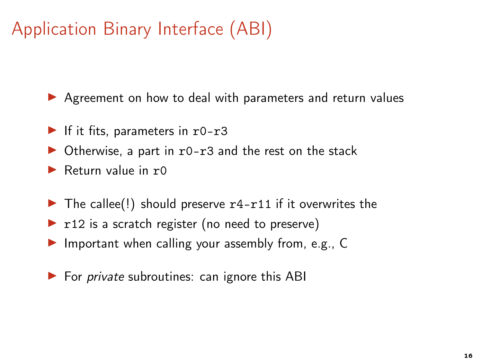- $\blacktriangleright$  If it fits, parameters in r0-r3
- $\triangleright$  Otherwise, a part in r0-r3 and the rest on the stack
- Return value in  $r0$
- $\triangleright$  The callee(!) should preserve r4-r11 if it overwrites the
- $\triangleright$  r12 is a scratch register (no need to preserve)
- ▶ Important when calling your assembly from, e.g., C
- $\triangleright$  For *private* subroutines: can ignore this ABI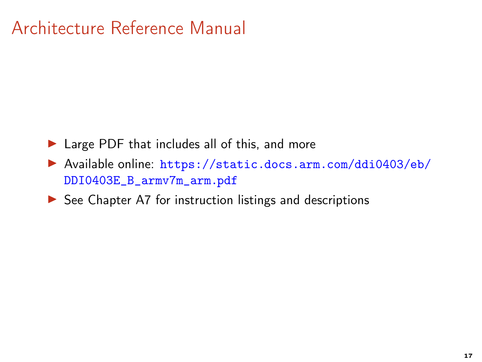# Architecture Reference Manual

- ▶ Large PDF that includes all of this, and more
- ▶ Available online: [https://static.docs.arm.com/ddi0403/eb/](https://static.docs.arm.com/ddi0403/eb/DDI0403E_B_armv7m_arm.pdf) [DDI0403E\\_B\\_armv7m\\_arm.pdf](https://static.docs.arm.com/ddi0403/eb/DDI0403E_B_armv7m_arm.pdf)
- $\triangleright$  See Chapter A7 for instruction listings and descriptions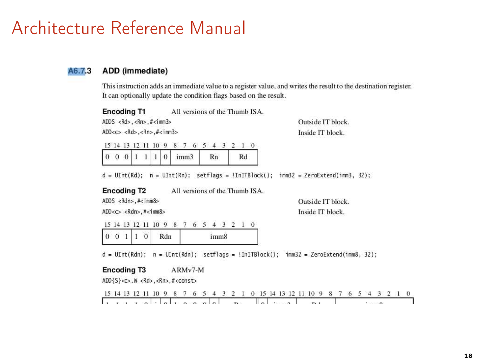#### Architecture Reference Manual

#### ADD (immediate) A6.7.3

This instruction adds an immediate value to a register value, and writes the result to the destination register. It can optionally update the condition flags based on the result.

| <b>Encoding T1</b>                                        |          |  |  |  |  |  |  |                  |  |    |  |                   |  |  | All versions of the Thumb ISA. |                  |
|-----------------------------------------------------------|----------|--|--|--|--|--|--|------------------|--|----|--|-------------------|--|--|--------------------------------|------------------|
| ADDS <rd>, <rn>, <math># \text{cim}</math>3&gt;</rn></rd> |          |  |  |  |  |  |  |                  |  |    |  | Outside IT block. |  |  |                                |                  |
| ADD < c > <rd> .<rn> .#<imm3></imm3></rn></rd>            |          |  |  |  |  |  |  |                  |  |    |  |                   |  |  |                                | Inside IT block. |
| 15 14 13 12 11 10 9 8 7 6 5 4 3 2 1 0                     |          |  |  |  |  |  |  |                  |  |    |  |                   |  |  |                                |                  |
|                                                           | $\theta$ |  |  |  |  |  |  | imm <sub>3</sub> |  | Rn |  | Rd                |  |  |                                |                  |

 $d = \text{UInt}(Rd);$   $n = \text{UInt}(Rn);$   $setflags = \text{InITBlock}();$   $imm32 = ZeroExternal(imm3, 32);$ 

**Encoding T2** All versions of the Thumb ISA.

ADDS <Rdn>.#<imm8>

 $ADD < c >  H < im8>$ 

Outside IT block. Inside IT block.

15 14 13 12 11 10 9 8 7 6 5 4 3 2 1 0 imm8  $0\quad 0\quad 1$  $\perp$  $\overline{0}$ Rdn

 $d = \text{UInt(Rdn)}$ ;  $n = \text{UInt(Rdn)}$ ; setflags = !InITBlock(); imm32 = ZeroExtend(imm8, 32);

#### **Encoding T3** ARMv7-M

ADD{S}<c>.W<Rd>,<Rn>,#<const>

15 14 13 12 11 10 9 8 7 6 5 4 3 2 1 0 15 14 13 12 11 10 9 8 7 6 5 4 3 2 1 0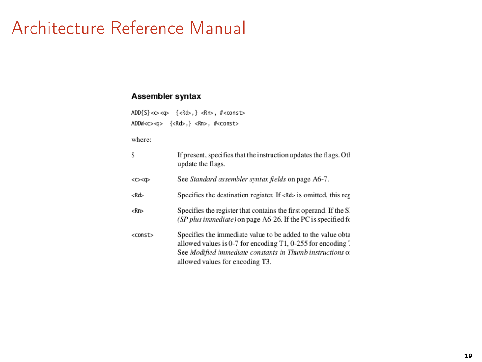# Architecture Reference Manual

#### Assembler syntax

| ADD{S}< $\text{>}\$ { <rd>, } <rn>, #<const></const></rn></rd> |  |  |
|----------------------------------------------------------------|--|--|
| ADDW <c><q> {<rd>,} <rn>, #<const></const></rn></rd></q></c>   |  |  |

where:

| S          | If present, specifies that the instruction updates the flags. Oth<br>update the flags.                                                                                                                                     |
|------------|----------------------------------------------------------------------------------------------------------------------------------------------------------------------------------------------------------------------------|
| < <x>Q</x> | See Standard assembler syntax fields on page A6-7.                                                                                                                                                                         |
| $<$ Rd $>$ | Specifies the destination register. If <rd> is omitted, this reg</rd>                                                                                                                                                      |
| Rn         | Specifies the register that contains the first operand. If the SI<br>(SP plus immediate) on page A6-26. If the PC is specified for                                                                                         |
| $<$ const> | Specifies the immediate value to be added to the value obta<br>allowed values is 0-7 for encoding T1, 0-255 for encoding T<br>See Modified immediate constants in Thumb instructions of<br>allowed values for encoding T3. |